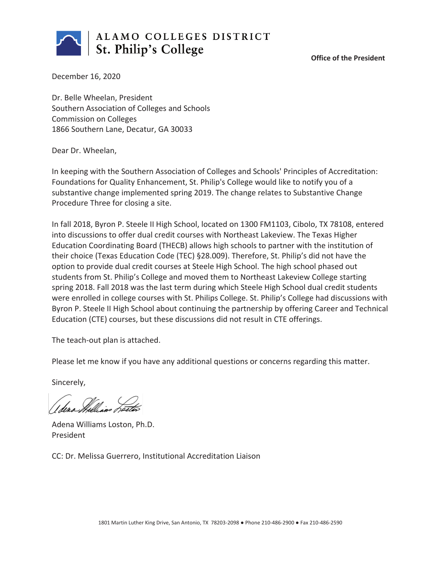

**Office of the President**

December 16, 2020

Dr. Belle Wheelan, President Southern Association of Colleges and Schools Commission on Colleges 1866 Southern Lane, Decatur, GA 30033

Dear Dr. Wheelan,

In keeping with the Southern Association of Colleges and Schools' Principles of Accreditation: Foundations for Quality Enhancement, St. Philip's College would like to notify you of a substantive change implemented spring 2019. The change relates to Substantive Change Procedure Three for closing a site.

In fall 2018, Byron P. Steele II High School, located on 1300 FM1103, Cibolo, TX 78108, entered into discussions to offer dual credit courses with Northeast Lakeview. The Texas Higher Education Coordinating Board (THECB) allows high schools to partner with the institution of their choice (Texas Education Code (TEC) §28.009). Therefore, St. Philip's did not have the option to provide dual credit courses at Steele High School. The high school phased out students from St. Philip's College and moved them to Northeast Lakeview College starting spring 2018. Fall 2018 was the last term during which Steele High School dual credit students were enrolled in college courses with St. Philips College. St. Philip's College had discussions with Byron P. Steele II High School about continuing the partnership by offering Career and Technical Education (CTE) courses, but these discussions did not result in CTE offerings.

The teach-out plan is attached.

Please let me know if you have any additional questions or concerns regarding this matter.

Sincerely,

I dena Milliano Text

Adena Williams Loston, Ph.D. President

CC: Dr. Melissa Guerrero, Institutional Accreditation Liaison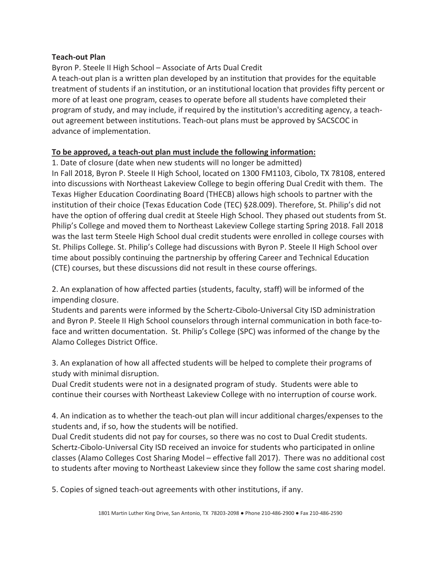## **Teach-out Plan**

Byron P. Steele II High School – Associate of Arts Dual Credit A teach-out plan is a written plan developed by an institution that provides for the equitable treatment of students if an institution, or an institutional location that provides fifty percent or more of at least one program, ceases to operate before all students have completed their program of study, and may include, if required by the institution's accrediting agency, a teachout agreement between institutions. Teach-out plans must be approved by SACSCOC in advance of implementation.

## **To be approved, a teach-out plan must include the following information:**

1. Date of closure (date when new students will no longer be admitted) In Fall 2018, Byron P. Steele II High School, located on 1300 FM1103, Cibolo, TX 78108, entered into discussions with Northeast Lakeview College to begin offering Dual Credit with them. The Texas Higher Education Coordinating Board (THECB) allows high schools to partner with the institution of their choice (Texas Education Code (TEC) §28.009). Therefore, St. Philip's did not have the option of offering dual credit at Steele High School. They phased out students from St. Philip's College and moved them to Northeast Lakeview College starting Spring 2018. Fall 2018 was the last term Steele High School dual credit students were enrolled in college courses with St. Philips College. St. Philip's College had discussions with Byron P. Steele II High School over time about possibly continuing the partnership by offering Career and Technical Education (CTE) courses, but these discussions did not result in these course offerings.

2. An explanation of how affected parties (students, faculty, staff) will be informed of the impending closure.

Students and parents were informed by the Schertz-Cibolo-Universal City ISD administration and Byron P. Steele II High School counselors through internal communication in both face-toface and written documentation. St. Philip's College (SPC) was informed of the change by the Alamo Colleges District Office.

3. An explanation of how all affected students will be helped to complete their programs of study with minimal disruption.

Dual Credit students were not in a designated program of study. Students were able to continue their courses with Northeast Lakeview College with no interruption of course work.

4. An indication as to whether the teach-out plan will incur additional charges/expenses to the students and, if so, how the students will be notified.

Dual Credit students did not pay for courses, so there was no cost to Dual Credit students. Schertz-Cibolo-Universal City ISD received an invoice for students who participated in online classes (Alamo Colleges Cost Sharing Model – effective fall 2017). There was no additional cost to students after moving to Northeast Lakeview since they follow the same cost sharing model.

5. Copies of signed teach-out agreements with other institutions, if any.